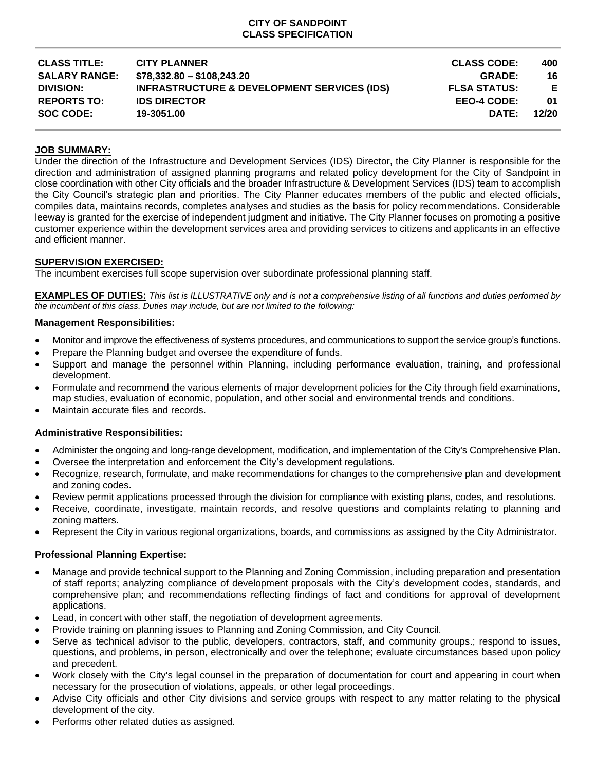## **CITY OF SANDPOINT CLASS SPECIFICATION**

| <b>CITY PLANNER</b>                                    | <b>CLASS CODE:</b>  | 400   |
|--------------------------------------------------------|---------------------|-------|
| $$78,332.80 - $108,243.20$                             | <b>GRADE:</b>       | 16    |
| <b>INFRASTRUCTURE &amp; DEVELOPMENT SERVICES (IDS)</b> | <b>FLSA STATUS:</b> | E     |
| <b>IDS DIRECTOR</b>                                    | EEO-4 CODE:         | 01    |
| 19-3051.00                                             | DATE:               | 12/20 |
|                                                        |                     |       |

# **JOB SUMMARY:**

Under the direction of the Infrastructure and Development Services (IDS) Director, the City Planner is responsible for the direction and administration of assigned planning programs and related policy development for the City of Sandpoint in close coordination with other City officials and the broader Infrastructure & Development Services (IDS) team to accomplish the City Council's strategic plan and priorities. The City Planner educates members of the public and elected officials, compiles data, maintains records, completes analyses and studies as the basis for policy recommendations. Considerable leeway is granted for the exercise of independent judgment and initiative. The City Planner focuses on promoting a positive customer experience within the development services area and providing services to citizens and applicants in an effective and efficient manner.

## **SUPERVISION EXERCISED:**

The incumbent exercises full scope supervision over subordinate professional planning staff.

**EXAMPLES OF DUTIES:** *This list is ILLUSTRATIVE only and is not a comprehensive listing of all functions and duties performed by the incumbent of this class. Duties may include, but are not limited to the following:*

## **Management Responsibilities:**

- Monitor and improve the effectiveness of systems procedures, and communications to support the service group's functions.
- Prepare the Planning budget and oversee the expenditure of funds.
- Support and manage the personnel within Planning, including performance evaluation, training, and professional development.
- Formulate and recommend the various elements of major development policies for the City through field examinations, map studies, evaluation of economic, population, and other social and environmental trends and conditions.
- Maintain accurate files and records.

## **Administrative Responsibilities:**

- Administer the ongoing and long-range development, modification, and implementation of the City's Comprehensive Plan.
- Oversee the interpretation and enforcement the City's development regulations.
- Recognize, research, formulate, and make recommendations for changes to the comprehensive plan and development and zoning codes.
- Review permit applications processed through the division for compliance with existing plans, codes, and resolutions.
- Receive, coordinate, investigate, maintain records, and resolve questions and complaints relating to planning and zoning matters.
- Represent the City in various regional organizations, boards, and commissions as assigned by the City Administrator.

## **Professional Planning Expertise:**

- Manage and provide technical support to the Planning and Zoning Commission, including preparation and presentation of staff reports; analyzing compliance of development proposals with the City's development codes, standards, and comprehensive plan; and recommendations reflecting findings of fact and conditions for approval of development applications.
- Lead, in concert with other staff, the negotiation of development agreements.
- Provide training on planning issues to Planning and Zoning Commission, and City Council.
- Serve as technical advisor to the public, developers, contractors, staff, and community groups.; respond to issues, questions, and problems, in person, electronically and over the telephone; evaluate circumstances based upon policy and precedent.
- Work closely with the City's legal counsel in the preparation of documentation for court and appearing in court when necessary for the prosecution of violations, appeals, or other legal proceedings.
- Advise City officials and other City divisions and service groups with respect to any matter relating to the physical development of the city.
- Performs other related duties as assigned.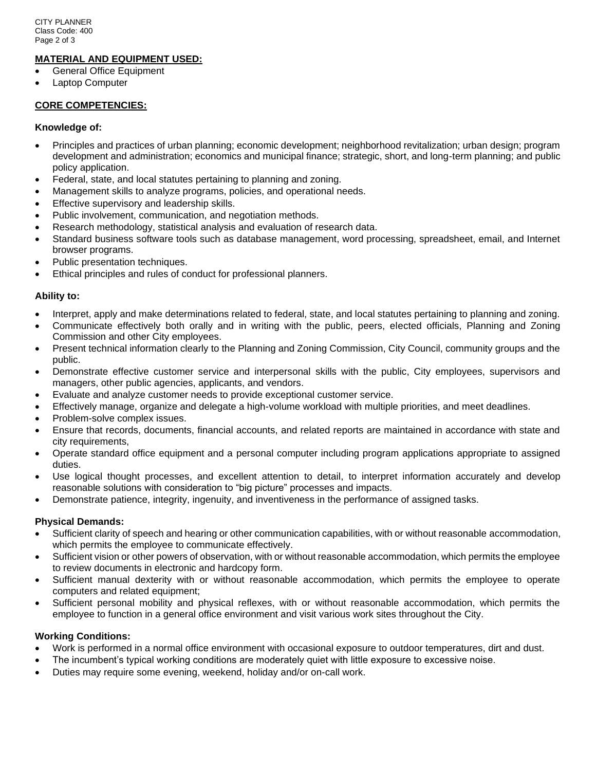## **MATERIAL AND EQUIPMENT USED:**

- General Office Equipment
- Laptop Computer

## **CORE COMPETENCIES:**

### **Knowledge of:**

- Principles and practices of urban planning; economic development; neighborhood revitalization; urban design; program development and administration; economics and municipal finance; strategic, short, and long-term planning; and public policy application.
- Federal, state, and local statutes pertaining to planning and zoning.
- Management skills to analyze programs, policies, and operational needs.
- Effective supervisory and leadership skills.
- Public involvement, communication, and negotiation methods.
- Research methodology, statistical analysis and evaluation of research data.
- Standard business software tools such as database management, word processing, spreadsheet, email, and Internet browser programs.
- Public presentation techniques.
- Ethical principles and rules of conduct for professional planners.

## **Ability to:**

- Interpret, apply and make determinations related to federal, state, and local statutes pertaining to planning and zoning.
- Communicate effectively both orally and in writing with the public, peers, elected officials, Planning and Zoning Commission and other City employees.
- Present technical information clearly to the Planning and Zoning Commission, City Council, community groups and the public.
- Demonstrate effective customer service and interpersonal skills with the public, City employees, supervisors and managers, other public agencies, applicants, and vendors.
- Evaluate and analyze customer needs to provide exceptional customer service.
- Effectively manage, organize and delegate a high-volume workload with multiple priorities, and meet deadlines.
- Problem-solve complex issues.
- Ensure that records, documents, financial accounts, and related reports are maintained in accordance with state and city requirements,
- Operate standard office equipment and a personal computer including program applications appropriate to assigned duties.
- Use logical thought processes, and excellent attention to detail, to interpret information accurately and develop reasonable solutions with consideration to "big picture" processes and impacts.
- Demonstrate patience, integrity, ingenuity, and inventiveness in the performance of assigned tasks.

## **Physical Demands:**

- Sufficient clarity of speech and hearing or other communication capabilities, with or without reasonable accommodation, which permits the employee to communicate effectively.
- Sufficient vision or other powers of observation, with or without reasonable accommodation, which permits the employee to review documents in electronic and hardcopy form.
- Sufficient manual dexterity with or without reasonable accommodation, which permits the employee to operate computers and related equipment;
- Sufficient personal mobility and physical reflexes, with or without reasonable accommodation, which permits the employee to function in a general office environment and visit various work sites throughout the City.

## **Working Conditions:**

- Work is performed in a normal office environment with occasional exposure to outdoor temperatures, dirt and dust.
- The incumbent's typical working conditions are moderately quiet with little exposure to excessive noise.
- Duties may require some evening, weekend, holiday and/or on-call work.